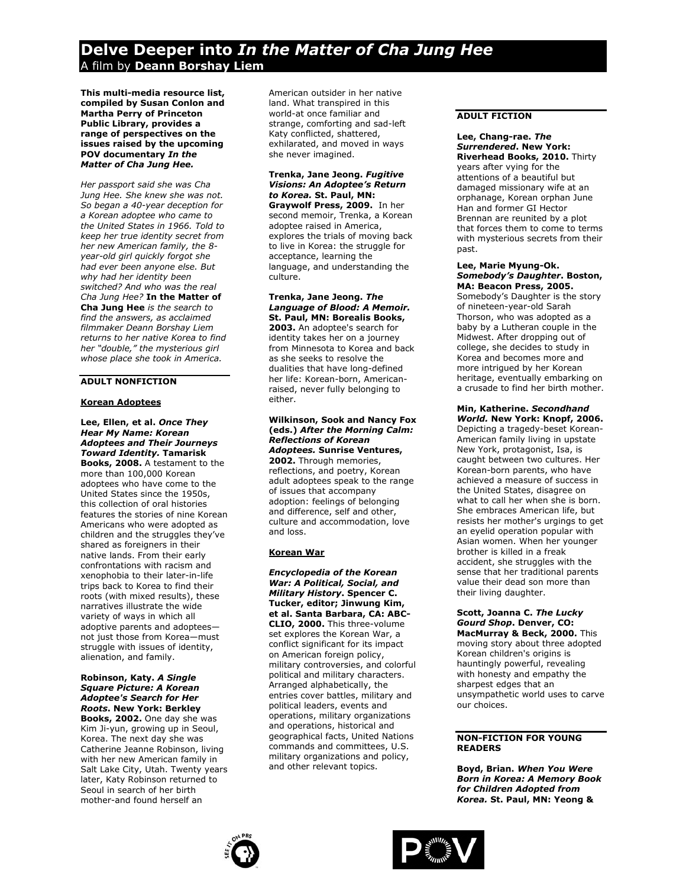# **Delve Deeper into** *In the Matter of Cha Jung Hee*  A film by **Deann Borshay Liem**

**This multi-media resource list, compiled by Susan Conlon and Martha Perry of Princeton Public Library, provides a range of perspectives on the issues raised by the upcoming POV documentary** *In the Matter of Cha Jung Hee.*

*Her passport said she was Cha Jung Hee. She knew she was not. So began a 40-year deception for a Korean adoptee who came to the United States in 1966. Told to keep her true identity secret from her new American family, the 8 year-old girl quickly forgot she had ever been anyone else. But why had her identity been switched? And who was the real Cha Jung Hee?* **In the Matter of Cha Jung Hee** *is the search to find the answers, as acclaimed filmmaker Deann Borshay Liem returns to her native Korea to find her "double," the mysterious girl whose place she took in America.*

## **ADULT NONFICTION**

## **Korean Adoptees**

#### **Lee, Ellen, et al.** *Once They Hear My Name: Korean Adoptees and Their Journeys Toward Identity.* **Tamarisk Books, 2008.** A testament to the

more than 100,000 Korean adoptees who have come to the United States since the 1950s, this collection of oral histories features the stories of nine Korean Americans who were adopted as children and the struggles they've shared as foreigners in their native lands. From their early confrontations with racism and xenophobia to their later-in-life trips back to Korea to find their roots (with mixed results), these narratives illustrate the wide variety of ways in which all adoptive parents and adoptees not just those from Korea—must struggle with issues of identity, alienation, and family.

#### **Robinson, Katy.** *A Single Square Picture: A Korean Adoptee's Search for Her Roots***. New York: Berkley**

**Books, 2002.** One day she was Kim Ji-yun, growing up in Seoul, Korea. The next day she was Catherine Jeanne Robinson, living with her new American family in Salt Lake City, Utah. Twenty years later, Katy Robinson returned to Seoul in search of her birth mother-and found herself an

American outsider in her native land. What transpired in this world-at once familiar and strange, comforting and sad-left Katy conflicted, shattered, exhilarated, and moved in ways she never imagined.

#### **Trenka, Jane Jeong.** *Fugitive Visions: An Adoptee's Return to Korea.* **St. Paul, MN: Graywolf Press, 2009.** In her

second memoir, Trenka, a Korean adoptee raised in America, explores the trials of moving back to live in Korea: the struggle for acceptance, learning the language, and understanding the culture.

**Trenka, Jane Jeong.** *The Language of Blood: A Memoir.*  **St. Paul, MN: Borealis Books, 2003.** An adoptee's search for identity takes her on a journey from Minnesota to Korea and back as she seeks to resolve the dualities that have long-defined her life: Korean-born, Americanraised, never fully belonging to either.

#### **Wilkinson, Sook and Nancy Fox (eds.)** *After the Morning Calm: Reflections of Korean Adoptees.* **Sunrise Ventures,**

**2002.** Through memories, reflections, and poetry, Korean adult adoptees speak to the range of issues that accompany adoption: feelings of belonging and difference, self and other, culture and accommodation, love and loss.

## **Korean War**

*Encyclopedia of the Korean War: A Political, Social, and Military History***. Spencer C. Tucker, editor; Jinwung Kim, et al. Santa Barbara, CA: ABC-CLIO, 2000.** This three-volume set explores the Korean War, a conflict significant for its impact on American foreign policy, military controversies, and colorful political and military characters. Arranged alphabetically, the entries cover battles, military and political leaders, events and operations, military organizations and operations, historical and geographical facts, United Nations commands and committees, U.S. military organizations and policy, and other relevant topics.

## **ADULT FICTION**

past.

### **Lee, Chang-rae.** *The Surrendered***. New York: Riverhead Books, 2010.** Thirty years after vying for the attentions of a beautiful but damaged missionary wife at an orphanage, Korean orphan June Han and former GI Hector Brennan are reunited by a plot that forces them to come to terms

#### **Lee, Marie Myung-Ok.** *Somebody's Daughter***. Boston, MA: Beacon Press, 2005.**

with mysterious secrets from their

Somebody's Daughter is the story of nineteen-year-old Sarah Thorson, who was adopted as a baby by a Lutheran couple in the Midwest. After dropping out of college, she decides to study in Korea and becomes more and more intrigued by her Korean heritage, eventually embarking on a crusade to find her birth mother.

## **Min, Katherine.** *Secondhand World.* **New York: Knopf, 2006.**

Depicting a tragedy-beset Korean-American family living in upstate New York, protagonist, Isa, is caught between two cultures. Her Korean-born parents, who have achieved a measure of success in the United States, disagree on what to call her when she is born. She embraces American life, but resists her mother's urgings to get an eyelid operation popular with Asian women. When her younger brother is killed in a freak accident, she struggles with the sense that her traditional parents value their dead son more than their living daughter.

**Scott, Joanna C.** *The Lucky Gourd Shop***. Denver, CO: MacMurray & Beck, 2000.** This moving story about three adopted Korean children's origins is hauntingly powerful, revealing with honesty and empathy the sharpest edges that an unsympathetic world uses to carve our choices.

## **NON-FICTION FOR YOUNG READERS**

**Boyd, Brian.** *When You Were Born in Korea: A Memory Book for Children Adopted from Korea.* **St. Paul, MN: Yeong &**